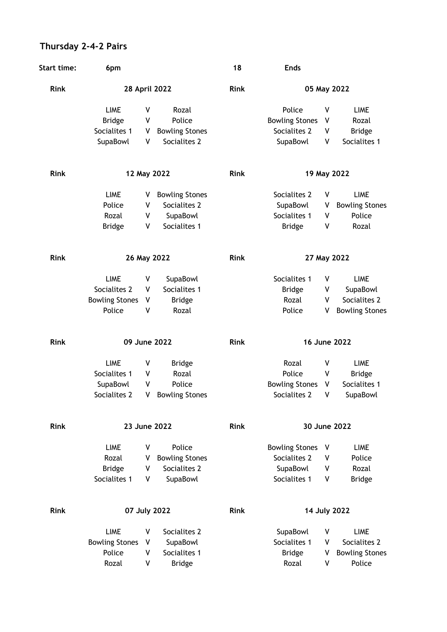## **Thursday 2-4-2 Pairs**

| <b>Start time:</b> | 6pm                   |   |                       | 18          | <b>Ends</b>           |   |                       |
|--------------------|-----------------------|---|-----------------------|-------------|-----------------------|---|-----------------------|
| <b>Rink</b>        | 28 April 2022         |   |                       | <b>Rink</b> | 05 May 2022           |   |                       |
|                    | <b>LIME</b>           | ٧ | Rozal                 |             | Police                | V | <b>LIME</b>           |
|                    | <b>Bridge</b>         | ٧ | Police                |             | <b>Bowling Stones</b> | V | Rozal                 |
|                    | Socialites 1          | ۷ | <b>Bowling Stones</b> |             | Socialites 2          | ٧ | <b>Bridge</b>         |
|                    | SupaBowl              | ٧ | Socialites 2          |             | SupaBowl              | ٧ | Socialites 1          |
| <b>Rink</b>        | 12 May 2022           |   |                       | <b>Rink</b> | 19 May 2022           |   |                       |
|                    |                       |   |                       |             |                       |   |                       |
|                    | <b>LIME</b>           | v | <b>Bowling Stones</b> |             | Socialites 2          | ٧ | <b>LIME</b>           |
|                    | Police                | ٧ | Socialites 2          |             | SupaBowl              | ٧ | <b>Bowling Stones</b> |
|                    | Rozal                 | ٧ | SupaBowl              |             | Socialites 1          | V | Police                |
|                    | <b>Bridge</b>         | ٧ | Socialites 1          |             | <b>Bridge</b>         | ٧ | Rozal                 |
| <b>Rink</b>        | 26 May 2022           |   |                       | <b>Rink</b> | 27 May 2022           |   |                       |
|                    |                       |   |                       |             |                       |   |                       |
|                    | <b>LIME</b>           | ٧ | SupaBowl              |             | Socialites 1          | ٧ | <b>LIME</b>           |
|                    | Socialites 2          | ٧ | Socialites 1          |             | <b>Bridge</b>         | ٧ | SupaBowl              |
|                    | <b>Bowling Stones</b> | ٧ | <b>Bridge</b>         |             | Rozal                 | V | Socialites 2          |
|                    | Police                | ٧ | Rozal                 |             | Police                | ۷ | <b>Bowling Stones</b> |
| <b>Rink</b>        | 09 June 2022          |   |                       | <b>Rink</b> | 16 June 2022          |   |                       |
|                    | <b>LIME</b>           | ٧ | <b>Bridge</b>         |             | Rozal                 | ٧ | <b>LIME</b>           |
|                    | Socialites 1          | ٧ | Rozal                 |             | Police                | V | <b>Bridge</b>         |
|                    | SupaBowl              | ٧ | Police                |             | <b>Bowling Stones</b> | V | Socialites 1          |
|                    | Socialites 2          | ٧ | <b>Bowling Stones</b> |             | Socialites 2          | ٧ | SupaBowl              |
| Rink               | 23 June 2022          |   |                       | <b>Rink</b> | 30 June 2022          |   |                       |
|                    |                       |   |                       |             |                       |   |                       |
|                    | <b>LIME</b>           | ۷ | Police                |             | <b>Bowling Stones</b> | V | <b>LIME</b>           |
|                    | Rozal                 | ۷ | <b>Bowling Stones</b> |             | Socialites 2          | V | Police                |
|                    | <b>Bridge</b>         | V | Socialites 2          |             | SupaBowl              | V | Rozal                 |
|                    | Socialites 1          | ۷ | SupaBowl              |             | Socialites 1          | V | <b>Bridge</b>         |
| <b>Rink</b>        | 07 July 2022          |   |                       | <b>Rink</b> | 14 July 2022          |   |                       |
|                    |                       |   |                       |             |                       |   |                       |
|                    | <b>LIME</b>           | ۷ | Socialites 2          |             | SupaBowl              | ۷ | <b>LIME</b>           |
|                    | <b>Bowling Stones</b> | ۷ | SupaBowl              |             | Socialites 1          | V | Socialites 2          |
|                    | Police                | V | Socialites 1          |             | <b>Bridge</b>         | ٧ | <b>Bowling Stones</b> |
|                    | Rozal                 | ٧ | <b>Bridge</b>         |             | Rozal                 | V | Police                |